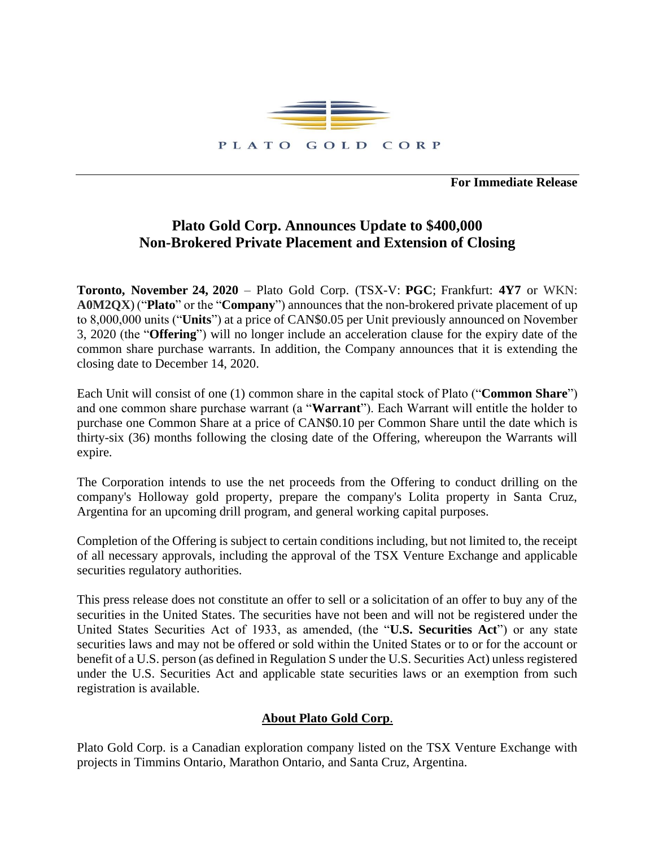

**For Immediate Release**

## **Plato Gold Corp. Announces Update to \$400,000 Non-Brokered Private Placement and Extension of Closing**

**Toronto, November 24, 2020** – Plato Gold Corp. (TSX-V: **PGC**; Frankfurt: **4Y7** or WKN: **A0M2QX**) ("**Plato**" or the "**Company**") announces that the non-brokered private placement of up to 8,000,000 units ("**Units**") at a price of CAN\$0.05 per Unit previously announced on November 3, 2020 (the "**Offering**") will no longer include an acceleration clause for the expiry date of the common share purchase warrants. In addition, the Company announces that it is extending the closing date to December 14, 2020.

Each Unit will consist of one (1) common share in the capital stock of Plato ("**Common Share**") and one common share purchase warrant (a "**Warrant**"). Each Warrant will entitle the holder to purchase one Common Share at a price of CAN\$0.10 per Common Share until the date which is thirty-six (36) months following the closing date of the Offering, whereupon the Warrants will expire.

The Corporation intends to use the net proceeds from the Offering to conduct drilling on the company's Holloway gold property, prepare the company's Lolita property in Santa Cruz, Argentina for an upcoming drill program, and general working capital purposes.

Completion of the Offering is subject to certain conditions including, but not limited to, the receipt of all necessary approvals, including the approval of the TSX Venture Exchange and applicable securities regulatory authorities.

This press release does not constitute an offer to sell or a solicitation of an offer to buy any of the securities in the United States. The securities have not been and will not be registered under the United States Securities Act of 1933, as amended, (the "**U.S. Securities Act**") or any state securities laws and may not be offered or sold within the United States or to or for the account or benefit of a U.S. person (as defined in Regulation S under the U.S. Securities Act) unless registered under the U.S. Securities Act and applicable state securities laws or an exemption from such registration is available.

## **About Plato Gold Corp**.

Plato Gold Corp. is a Canadian exploration company listed on the TSX Venture Exchange with projects in Timmins Ontario, Marathon Ontario, and Santa Cruz, Argentina.